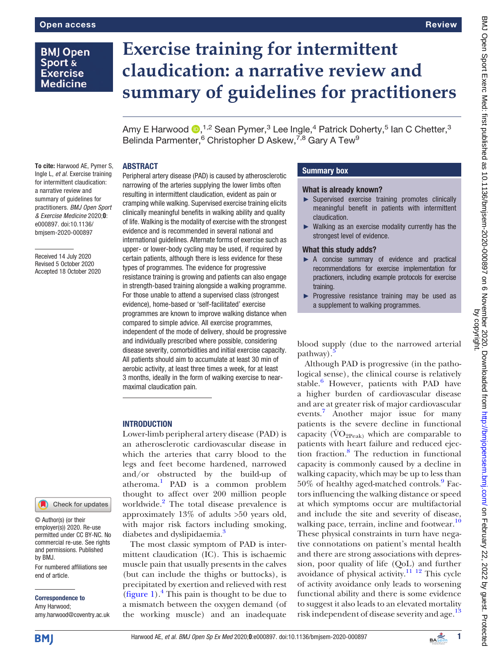# **BMJ Open** Sport & **Exercise Medicine**

# Exercise training for intermittent claudication: a narrative review and summary of guidelines for practitioners

Amy E Harwood  $\mathbf{D},^{1,2}$  $\mathbf{D},^{1,2}$  $\mathbf{D},^{1,2}$  Sean Pymer, $^3$  Lee Ingle, $^4$  Patrick Doherty, $^5$  lan C Chetter, $^3$ Belinda Parmenter,<sup>6</sup> Christopher D Askew,<sup>7,8</sup> Gary A Tew<sup>9</sup>

#### ABSTRACT

To cite: Harwood AE, Pymer S, Ingle L, et al. Exercise training for intermittent claudication: a narrative review and summary of guidelines for practitioners. BMJ Open Sport & Exercise Medicine 2020;0: e000897. doi:10.1136/ bmjsem-2020-000897

Received 14 July 2020 Revised 5 October 2020 Accepted 18 October 2020 Peripheral artery disease (PAD) is caused by atherosclerotic narrowing of the arteries supplying the lower limbs often resulting in intermittent claudication, evident as pain or cramping while walking. Supervised exercise training elicits clinically meaningful benefits in walking ability and quality of life. Walking is the modality of exercise with the strongest evidence and is recommended in several national and international guidelines. Alternate forms of exercise such as upper- or lower-body cycling may be used, if required by certain patients, although there is less evidence for these types of programmes. The evidence for progressive resistance training is growing and patients can also engage in strength-based training alongside a walking programme. For those unable to attend a supervised class (strongest evidence), home-based or 'self-facilitated' exercise programmes are known to improve walking distance when compared to simple advice. All exercise programmes, independent of the mode of delivery, should be progressive and individually prescribed where possible, considering disease severity, comorbidities and initial exercise capacity. All patients should aim to accumulate at least 30 min of aerobic activity, at least three times a week, for at least 3 months, ideally in the form of walking exercise to nearmaximal claudication pain.

#### INTRODUCTION

Lower-limb peripheral artery disease (PAD) is an atherosclerotic cardiovascular disease in which the arteries that carry blood to the legs and feet become hardened, narrowed and/or obstructed by the build-up of atheroma.<sup>[1](#page-7-0)</sup> PAD is a common problem thought to affect over 200 million people worldwide.<sup>2</sup> The total disease prevalence is approximately 13% of adults >50 years old, with major risk factors including smoking, diabetes and dyslipidaemia.<sup>[3](#page-7-2)</sup>

The most classic symptom of PAD is intermittent claudication (IC). This is ischaemic muscle pain that usually presents in the calves (but can include the thighs or buttocks), is precipitated by exertion and relieved with rest [\(figure 1](#page-1-0)). $^4$  This pain is thought to be due to a mismatch between the oxygen demand (of the working muscle) and an inadequate

#### Summary box

#### What is already known?

- ► Supervised exercise training promotes clinically meaningful benefit in patients with intermittent claudication.
- ► Walking as an exercise modality currently has the strongest level of evidence.

#### What this study adds?

- ► A concise summary of evidence and practical recommendations for exercise implementation for practioners, including example protocols for exercise training.
- ► Progressive resistance training may be used as a supplement to walking programmes.

blood supply (due to the narrowed arterial  $pathway)$ .

Although PAD is progressive (in the pathological sense), the clinical course is relatively stable.<sup>[6](#page-7-5)</sup> However, patients with PAD have a higher burden of cardiovascular disease and are at greater risk of major cardiovascular events[.7](#page-7-6) Another major issue for many patients is the severe decline in functional capacity ( $\rm\dot{VO}_{2Peak}$ ) which are comparable to patients with heart failure and reduced ejection fraction.[8](#page-7-7) The reduction in functional capacity is commonly caused by a decline in walking capacity, which may be up to less than  $50\%$  of healthy aged-matched controls. Factors influencing the walking distance or speed at which symptoms occur are multifactorial and include the site and severity of disease, walking pace, terrain, incline and footwear.<sup>[10](#page-7-9)</sup> These physical constraints in turn have negative connotations on patient's mental health and there are strong associations with depression, poor quality of life (QoL) and further avoidance of physical activity.[11 12](#page-7-10) This cycle of activity avoidance only leads to worsening functional ability and there is some evidence to suggest it also leads to an elevated mortality risk independent of disease severity and age.<sup>[13](#page-7-11)</sup>

#### © Author(s) (or their

Check for updates

employer(s)) 2020. Re-use permitted under CC BY-NC. No commercial re-use. See rights and permissions. Published by BMJ.

For numbered affiliations see end of article.

## Correspondence to

Amy Harwood; amy.harwood@coventry.ac.uk

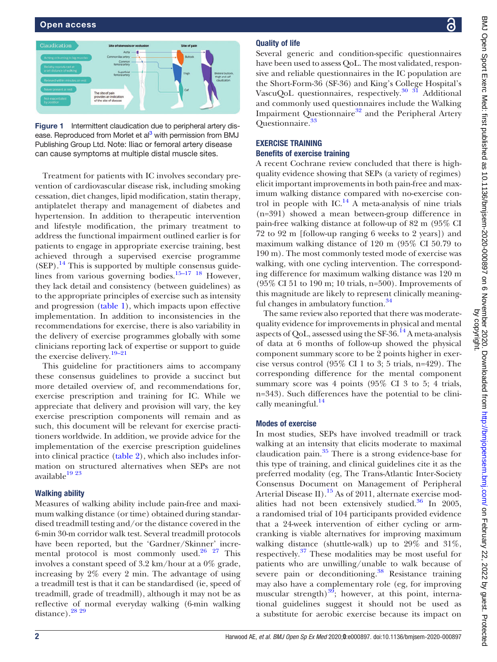<span id="page-1-0"></span>

Figure 1 Intermittent claudication due to peripheral artery disease. Reproduced from Morlet et al<sup>3</sup> with permission from BMJ Publishing Group Ltd. Note: Iliac or femoral artery disease can cause symptoms at multiple distal muscle sites.

Treatment for patients with IC involves secondary prevention of cardiovascular disease risk, including smoking cessation, diet changes, lipid modification, statin therapy, antiplatelet therapy and management of diabetes and hypertension. In addition to therapeutic intervention and lifestyle modification, the primary treatment to address the functional impairment outlined earlier is for patients to engage in appropriate exercise training, best achieved through a supervised exercise programme  $(SEP).<sup>14</sup>$  $(SEP).<sup>14</sup>$  $(SEP).<sup>14</sup>$  This is supported by multiple consensus guidelines from various governing bodies.[15](#page-7-13)–17 [18](#page-7-14) However, they lack detail and consistency (between guidelines) as to the appropriate principles of exercise such as intensity and progression [\(table 1](#page-2-0)), which impacts upon effective implementation. In addition to inconsistencies in the recommendations for exercise, there is also variability in the delivery of exercise programmes globally with some clinicians reporting lack of expertise or support to guide the exercise delivery[.19](#page-7-15)–<sup>21</sup>

This guideline for practitioners aims to accompany these consensus guidelines to provide a succinct but more detailed overview of, and recommendations for, exercise prescription and training for IC. While we appreciate that delivery and provision will vary, the key exercise prescription components will remain and as such, this document will be relevant for exercise practitioners worldwide. In addition, we provide advice for the implementation of the exercise prescription guidelines into clinical practice [\(table 2](#page-3-0)), which also includes information on structured alternatives when SEPs are not available<sup>[19 23](#page-7-15)</sup>

#### Walking ability

Measures of walking ability include pain-free and maximum walking distance (or time) obtained during standardised treadmill testing and/or the distance covered in the 6-min 30-m corridor walk test. Several treadmill protocols have been reported, but the 'Gardner/Skinner' incremental protocol is most commonly used.<sup>26</sup> <sup>27</sup> This involves a constant speed of 3.2 km/hour at a 0% grade, increasing by 2% every 2 min. The advantage of using a treadmill test is that it can be standardised (ie, speed of treadmill, grade of treadmill), although it may not be as reflective of normal everyday walking (6-min walking distance).<sup>28</sup> <sup>29</sup>

# Quality of life

Several generic and condition-specific questionnaires have been used to assess QoL. The most validated, responsive and reliable questionnaires in the IC population are the Short-Form-36 (SF-36) and King's College Hospital's VascuQoL questionnaires, respectively.<sup>30</sup> <sup>31</sup> Additional and commonly used questionnaires include the Walking Impairment Questionnaire<sup>[32](#page-7-19)</sup> and the Peripheral Artery Ouestionnaire.<sup>33</sup>

# EXERCISE TRAINING Benefits of exercise training

A recent Cochrane review concluded that there is highquality evidence showing that SEPs (a variety of regimes) elicit important improvements in both pain-free and maximum walking distance compared with no-exercise control in people with IC.<sup>14</sup> A meta-analysis of nine trials (n=391) showed a mean between-group difference in pain-free walking distance at follow-up of 82 m (95% CI 72 to 92 m [follow-up ranging 6 weeks to 2 years]) and maximum walking distance of 120 m (95% CI 50.79 to 190 m). The most commonly tested mode of exercise was walking, with one cycling intervention. The corresponding difference for maximum walking distance was 120 m (95% CI 51 to 190 m; 10 trials, n=500). Improvements of this magnitude are likely to represent clinically meaningful changes in ambulatory function.<sup>34</sup>

The same review also reported that there was moderatequality evidence for improvements in physical and mental aspects of QoL, assessed using the  $SF-36$ .<sup>[14](#page-7-12)</sup> A meta-analysis of data at 6 months of follow-up showed the physical component summary score to be 2 points higher in exercise versus control (95% CI 1 to 3; 5 trials, n=429). The corresponding difference for the mental component summary score was 4 points (95% CI 3 to 5; 4 trials, n=343). Such differences have the potential to be clinically meaningful. $^{14}$ 

## Modes of exercise

In most studies, SEPs have involved treadmill or track walking at an intensity that elicits moderate to maximal claudication pain. $35$  There is a strong evidence-base for this type of training, and clinical guidelines cite it as the preferred modality (eg, The Trans-Atlantic Inter-Society Consensus Document on Management of Peripheral Arterial Disease II).<sup>[15](#page-7-13)</sup> As of 2011, alternate exercise modalities had not been extensively studied. $36$  In 2005, a randomised trial of 104 participants provided evidence that a 24-week intervention of either cycling or armcranking is viable alternatives for improving maximum walking distance (shuttle-walk) up to 29% and 31%, respectively.[37](#page-8-2) These modalities may be most useful for patients who are unwilling/unable to walk because of severe pain or deconditioning. $38$  Resistance training may also have a complementary role (eg, for improving muscular strength) $39$ ; however, at this point, international guidelines suggest it should not be used as a substitute for aerobic exercise because its impact on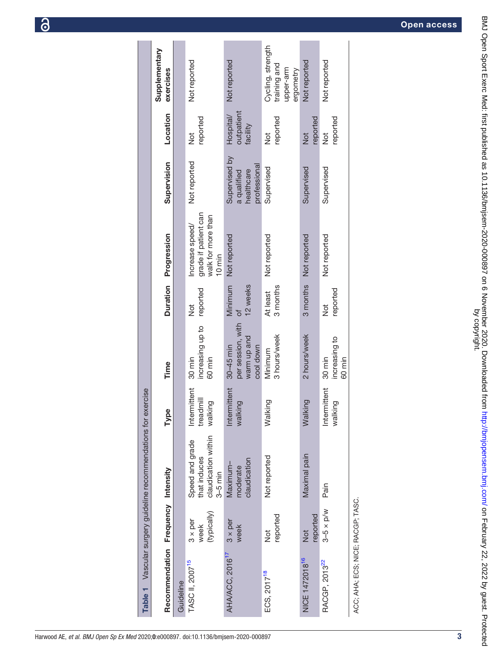<span id="page-2-0"></span>

|                                    |                                       | Table 1 Vascular surgery guideline recommendations for exercise     |                                                              |                                                                |                           |                                                                         |                                                            |                                     |                                                             |
|------------------------------------|---------------------------------------|---------------------------------------------------------------------|--------------------------------------------------------------|----------------------------------------------------------------|---------------------------|-------------------------------------------------------------------------|------------------------------------------------------------|-------------------------------------|-------------------------------------------------------------|
| Recommendation Frequency Intensity |                                       |                                                                     | Type                                                         | Time                                                           |                           | Duration Progression                                                    | Supervision                                                | Location                            | Supplementary<br>exercises                                  |
| Guideline                          |                                       |                                                                     |                                                              |                                                                |                           |                                                                         |                                                            |                                     |                                                             |
| TASC II, 2007 <sup>15</sup>        | (typically)<br>$3 \times per$<br>week | claudication within<br>Speed and grade<br>that induces<br>$3-5$ min | Intermittent<br>treadmill<br>king<br>$\overline{\mathbb{R}}$ | increasing up to<br>30 min<br>60 min                           | reported<br>$\frac{1}{2}$ | grade if patient can<br>walk for more than<br>Increase speed/<br>10 min | Not reported                                               | reported<br>3<br>Not                | Not reported                                                |
| AHA/ACC, 2016 <sup>17</sup>        | $3 \times per$<br>week                | claudication<br>Maximum-<br>moderate                                | Intermittent<br>king<br>$\overline{\text{val}}$              | per session, with<br>warm up and<br>$30 - 45$ min<br>cool down | 12 weeks                  | Minimum Not reported                                                    | Supervised by<br>professional<br>healthcare<br>a qualified | outpatient<br>Hospital/<br>facility | Not reported                                                |
| ECS, 2017 <sup>18</sup>            | reported<br><b>D</b>                  | Not reported                                                        | <b>Iking</b><br>Wall                                         | 3 hours/week<br>Minimum                                        | 3 months<br>At least      | Not reported                                                            | Supervised                                                 | reported<br>ă                       | Cycling, strength<br>training and<br>upper-arm<br>ergometry |
| NICE 1472018 <sup>16</sup>         | reported<br>7ot                       | Maximal pain                                                        | Walking                                                      | 2 hours/week                                                   |                           | 3 months Not reported                                                   | Supervised                                                 | reported<br>$\frac{1}{2}$           | Not reported                                                |
| RACGP, 2013 <sup>22</sup>          | $3-5 \times p/w$                      | Pain                                                                | Intermittent<br>walking                                      | increasing to<br>$30 \text{ min}$<br>60 min                    | reported<br>$\frac{1}{2}$ | Not reported                                                            | Supervised                                                 | reported<br>$\frac{1}{2}$           | Not reported                                                |
| ACC; AHA; ECS; NICE; RACGP; TASC.  |                                       |                                                                     |                                                              |                                                                |                           |                                                                         |                                                            |                                     |                                                             |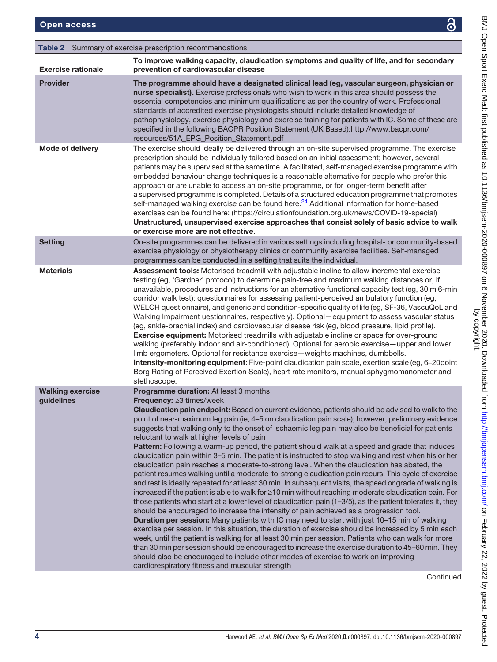<span id="page-3-0"></span>

| <b>Exercise rationale</b><br>prevention of cardiovascular disease<br><b>Provider</b><br>nurse specialist). Exercise professionals who wish to work in this area should possess the<br>essential competencies and minimum qualifications as per the country of work. Professional<br>standards of accredited exercise physiologists should include detailed knowledge of<br>specified in the following BACPR Position Statement (UK Based):http://www.bacpr.com/<br>resources/51A_EPG_Position_Statement.pdf<br>Mode of delivery<br>prescription should be individually tailored based on an initial assessment; however, several<br>embedded behaviour change techniques is a reasonable alternative for people who prefer this<br>approach or are unable to access an on-site programme, or for longer-term benefit after<br>self-managed walking exercise can be found here. <sup>24</sup> Additional information for home-based<br>exercises can be found here: (https://circulationfoundation.org.uk/news/COVID-19-special)<br>or exercise more are not effective.<br><b>Setting</b><br>exercise physiology or physiotherapy clinics or community exercise facilities. Self-managed<br>programmes can be conducted in a setting that suits the individual.<br><b>Materials</b><br>Assessment tools: Motorised treadmill with adjustable incline to allow incremental exercise<br>testing (eg, 'Gardner' protocol) to determine pain-free and maximum walking distances or, if<br>corridor walk test); questionnaires for assessing patient-perceived ambulatory function (eg,<br>(eg, ankle-brachial index) and cardiovascular disease risk (eg, blood pressure, lipid profile).<br>Exercise equipment: Motorised treadmills with adjustable incline or space for over-ground<br>limb ergometers. Optional for resistance exercise-weights machines, dumbbells.<br>stethoscope.<br><b>Walking exercise</b><br>Programme duration: At least 3 months<br>Frequency: ≥3 times/week<br>guidelines<br>reluctant to walk at higher levels of pain<br>claudication pain reaches a moderate-to-strong level. When the claudication has abated, the<br>should be encouraged to increase the intensity of pain achieved as a progression tool. | <b>Table 2</b> Summary of exercise prescription recommendations                                                                                                                                                                                                                                                                                                                                                                                                                                                                                                                                                                                                                                                                                                                                                                                                                                                                                                                                                                                                                                                                                                                                                                                                                                                                                                                  |
|------------------------------------------------------------------------------------------------------------------------------------------------------------------------------------------------------------------------------------------------------------------------------------------------------------------------------------------------------------------------------------------------------------------------------------------------------------------------------------------------------------------------------------------------------------------------------------------------------------------------------------------------------------------------------------------------------------------------------------------------------------------------------------------------------------------------------------------------------------------------------------------------------------------------------------------------------------------------------------------------------------------------------------------------------------------------------------------------------------------------------------------------------------------------------------------------------------------------------------------------------------------------------------------------------------------------------------------------------------------------------------------------------------------------------------------------------------------------------------------------------------------------------------------------------------------------------------------------------------------------------------------------------------------------------------------------------------------------------------------------------------------------------------------------------------------------------------------------------------------------------------------------------------------------------------------------------------------------------------------------------------------------------------------------------------------------------------------------------------------------------------------------------------------------------------------------------------------------------------------|----------------------------------------------------------------------------------------------------------------------------------------------------------------------------------------------------------------------------------------------------------------------------------------------------------------------------------------------------------------------------------------------------------------------------------------------------------------------------------------------------------------------------------------------------------------------------------------------------------------------------------------------------------------------------------------------------------------------------------------------------------------------------------------------------------------------------------------------------------------------------------------------------------------------------------------------------------------------------------------------------------------------------------------------------------------------------------------------------------------------------------------------------------------------------------------------------------------------------------------------------------------------------------------------------------------------------------------------------------------------------------|
|                                                                                                                                                                                                                                                                                                                                                                                                                                                                                                                                                                                                                                                                                                                                                                                                                                                                                                                                                                                                                                                                                                                                                                                                                                                                                                                                                                                                                                                                                                                                                                                                                                                                                                                                                                                                                                                                                                                                                                                                                                                                                                                                                                                                                                          | To improve walking capacity, claudication symptoms and quality of life, and for secondary                                                                                                                                                                                                                                                                                                                                                                                                                                                                                                                                                                                                                                                                                                                                                                                                                                                                                                                                                                                                                                                                                                                                                                                                                                                                                        |
|                                                                                                                                                                                                                                                                                                                                                                                                                                                                                                                                                                                                                                                                                                                                                                                                                                                                                                                                                                                                                                                                                                                                                                                                                                                                                                                                                                                                                                                                                                                                                                                                                                                                                                                                                                                                                                                                                                                                                                                                                                                                                                                                                                                                                                          | The programme should have a designated clinical lead (eg, vascular surgeon, physician or<br>pathophysiology, exercise physiology and exercise training for patients with IC. Some of these are                                                                                                                                                                                                                                                                                                                                                                                                                                                                                                                                                                                                                                                                                                                                                                                                                                                                                                                                                                                                                                                                                                                                                                                   |
|                                                                                                                                                                                                                                                                                                                                                                                                                                                                                                                                                                                                                                                                                                                                                                                                                                                                                                                                                                                                                                                                                                                                                                                                                                                                                                                                                                                                                                                                                                                                                                                                                                                                                                                                                                                                                                                                                                                                                                                                                                                                                                                                                                                                                                          | The exercise should ideally be delivered through an on-site supervised programme. The exercise<br>patients may be supervised at the same time. A facilitated, self-managed exercise programme with<br>a supervised programme is completed. Details of a structured education programme that promotes<br>Unstructured, unsupervised exercise approaches that consist solely of basic advice to walk                                                                                                                                                                                                                                                                                                                                                                                                                                                                                                                                                                                                                                                                                                                                                                                                                                                                                                                                                                               |
|                                                                                                                                                                                                                                                                                                                                                                                                                                                                                                                                                                                                                                                                                                                                                                                                                                                                                                                                                                                                                                                                                                                                                                                                                                                                                                                                                                                                                                                                                                                                                                                                                                                                                                                                                                                                                                                                                                                                                                                                                                                                                                                                                                                                                                          | On-site programmes can be delivered in various settings including hospital- or community-based                                                                                                                                                                                                                                                                                                                                                                                                                                                                                                                                                                                                                                                                                                                                                                                                                                                                                                                                                                                                                                                                                                                                                                                                                                                                                   |
|                                                                                                                                                                                                                                                                                                                                                                                                                                                                                                                                                                                                                                                                                                                                                                                                                                                                                                                                                                                                                                                                                                                                                                                                                                                                                                                                                                                                                                                                                                                                                                                                                                                                                                                                                                                                                                                                                                                                                                                                                                                                                                                                                                                                                                          | unavailable, procedures and instructions for an alternative functional capacity test (eg, 30 m 6-min<br>WELCH questionnaire), and generic and condition-specific quality of life (eg, SF-36, VascuQoL and<br>Walking Impairment uestionnaires, respectively). Optional - equipment to assess vascular status<br>walking (preferably indoor and air-conditioned). Optional for aerobic exercise—upper and lower<br>Intensity-monitoring equipment: Five-point claudication pain scale, exertion scale (eg, 6-20point<br>Borg Rating of Perceived Exertion Scale), heart rate monitors, manual sphygmomanometer and                                                                                                                                                                                                                                                                                                                                                                                                                                                                                                                                                                                                                                                                                                                                                                |
| should also be encouraged to include other modes of exercise to work on improving<br>cardiorespiratory fitness and muscular strength                                                                                                                                                                                                                                                                                                                                                                                                                                                                                                                                                                                                                                                                                                                                                                                                                                                                                                                                                                                                                                                                                                                                                                                                                                                                                                                                                                                                                                                                                                                                                                                                                                                                                                                                                                                                                                                                                                                                                                                                                                                                                                     | Claudication pain endpoint: Based on current evidence, patients should be advised to walk to the<br>point of near-maximum leg pain (ie, 4-5 on claudication pain scale); however, preliminary evidence<br>suggests that walking only to the onset of ischaemic leg pain may also be beneficial for patients<br>Pattern: Following a warm-up period, the patient should walk at a speed and grade that induces<br>claudication pain within 3-5 min. The patient is instructed to stop walking and rest when his or her<br>patient resumes walking until a moderate-to-strong claudication pain recurs. This cycle of exercise<br>and rest is ideally repeated for at least 30 min. In subsequent visits, the speed or grade of walking is<br>increased if the patient is able to walk for ≥10 min without reaching moderate claudication pain. For<br>those patients who start at a lower level of claudication pain (1-3/5), as the patient tolerates it, they<br>Duration per session: Many patients with IC may need to start with just 10-15 min of walking<br>exercise per session. In this situation, the duration of exercise should be increased by 5 min each<br>week, until the patient is walking for at least 30 min per session. Patients who can walk for more<br>than 30 min per session should be encouraged to increase the exercise duration to 45-60 min. They |

Continued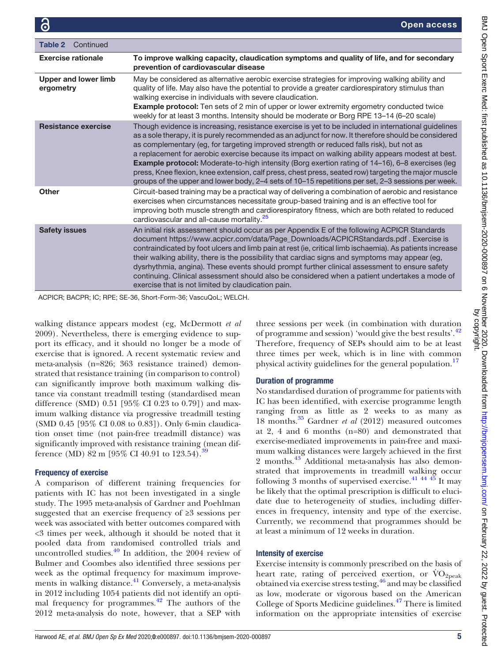| $\boldsymbol{\Theta}$                                                                                                                                                           | <b>Open access</b>                                                                                                                                                                                                                                                                                                                                                                                                                                                                                                                                                                                                                                                                                                            |
|---------------------------------------------------------------------------------------------------------------------------------------------------------------------------------|-------------------------------------------------------------------------------------------------------------------------------------------------------------------------------------------------------------------------------------------------------------------------------------------------------------------------------------------------------------------------------------------------------------------------------------------------------------------------------------------------------------------------------------------------------------------------------------------------------------------------------------------------------------------------------------------------------------------------------|
| Continued<br>Table 2                                                                                                                                                            |                                                                                                                                                                                                                                                                                                                                                                                                                                                                                                                                                                                                                                                                                                                               |
| <b>Exercise rationale</b>                                                                                                                                                       | To improve walking capacity, claudication symptoms and quality of life, and for secondary<br>prevention of cardiovascular disease                                                                                                                                                                                                                                                                                                                                                                                                                                                                                                                                                                                             |
| <b>Upper and lower limb</b><br>ergometry                                                                                                                                        | May be considered as alternative aerobic exercise strategies for improving walking ability and<br>quality of life. May also have the potential to provide a greater cardiorespiratory stimulus than<br>walking exercise in individuals with severe claudication.<br><b>Example protocol:</b> Ten sets of 2 min of upper or lower extremity ergometry conducted twice<br>weekly for at least 3 months. Intensity should be moderate or Borg RPE 13-14 (6-20 scale)                                                                                                                                                                                                                                                             |
| <b>Resistance exercise</b>                                                                                                                                                      | Though evidence is increasing, resistance exercise is yet to be included in international guidelines<br>as a sole therapy, it is purely recommended as an adjunct for now. It therefore should be considered<br>as complementary (eg, for targeting improved strength or reduced falls risk), but not as<br>a replacement for aerobic exercise because its impact on walking ability appears modest at best.<br>Example protocol: Moderate-to-high intensity (Borg exertion rating of 14-16), 6-8 exercises (leg<br>press, Knee flexion, knee extension, calf press, chest press, seated row) targeting the major muscle<br>groups of the upper and lower body, 2–4 sets of 10–15 repetitions per set, 2–3 sessions per week. |
| <b>Other</b>                                                                                                                                                                    | Circuit-based training may be a practical way of delivering a combination of aerobic and resistance<br>exercises when circumstances necessitate group-based training and is an effective tool for<br>improving both muscle strength and cardiorespiratory fitness, which are both related to reduced<br>cardiovascular and all-cause mortality. <sup>25</sup>                                                                                                                                                                                                                                                                                                                                                                 |
| <b>Safety issues</b>                                                                                                                                                            | An initial risk assessment should occur as per Appendix E of the following ACPICR Standards<br>document https://www.acpicr.com/data/Page_Downloads/ACPICRStandards.pdf . Exercise is<br>contraindicated by foot ulcers and limb pain at rest (ie, critical limb ischaemia). As patients increase<br>their walking ability, there is the possibility that cardiac signs and symptoms may appear (eg,<br>dysrhythmia, angina). These events should prompt further clinical assessment to ensure safety<br>continuing. Clinical assessment should also be considered when a patient undertakes a mode of<br>exercise that is not limited by claudication pain.                                                                   |
| ACPICR; BACPR; IC; RPE; SE-36, Short-Form-36; VascuQoL; WELCH.<br>valking distance appears modest (eg, McDermott et al<br>three sessions per week (in combination with duration |                                                                                                                                                                                                                                                                                                                                                                                                                                                                                                                                                                                                                                                                                                                               |

walking distance appears 2009). Nevertheless, there is emerging evidence to support its efficacy, and it should no longer be a mode of exercise that is ignored. A recent systematic review and meta-analysis (n=826; 363 resistance trained) demonstrated that resistance training (in comparison to control) can significantly improve both maximum walking distance via constant treadmill testing (standardised mean difference (SMD) 0.51 [95% CI 0.23 to 0.79]) and maximum walking distance via progressive treadmill testing (SMD 0.45 [95% CI 0.08 to 0.83]). Only 6-min claudication onset time (not pain-free treadmill distance) was significantly improved with resistance training (mean dif-ference (MD) 82 m [95% CI 40.91 to 123.54).<sup>[39](#page-8-4)</sup>

## Frequency of exercise

A comparison of different training frequencies for patients with IC has not been investigated in a single study. The 1995 meta-analysis of Gardner and Poehlman suggested that an exercise frequency of ≥3 sessions per week was associated with better outcomes compared with <3 times per week, although it should be noted that it pooled data from randomised controlled trials and uncontrolled studies. $40$  In addition, the 2004 review of Bulmer and Coombes also identified three sessions per week as the optimal frequency for maximum improvements in walking distance.<sup>41</sup> Conversely, a meta-analysis in 2012 including 1054 patients did not identify an optimal frequency for programmes. $^{42}$  The authors of the 2012 meta-analysis do note, however, that a SEP with

tion with duration of programme and session) 'would give the best results'.<sup>[42](#page-8-7)</sup> Therefore, frequency of SEPs should aim to be at least three times per week, which is in line with common physical activity guidelines for the general population.<sup>[17](#page-7-22)</sup>

# Duration of programme

No standardised duration of programme for patients with IC has been identified, with exercise programme length ranging from as little as 2 weeks to as many as 18 months.<sup>[35](#page-8-0)</sup> Gardner *et al* (2012) measured outcomes at 2, 4 and 6 months (n=80) and demonstrated that exercise-mediated improvements in pain-free and maximum walking distances were largely achieved in the first 2 months.[43](#page-8-8) Additional meta-analysis has also demonstrated that improvements in treadmill walking occur following 3 months of supervised exercise.<sup>41</sup> <sup>44 45</sup> It may be likely that the optimal prescription is difficult to elucidate due to heterogeneity of studies, including differences in frequency, intensity and type of the exercise. Currently, we recommend that programmes should be at least a minimum of 12 weeks in duration.

## Intensity of exercise

Exercise intensity is commonly prescribed on the basis of heart rate, rating of perceived exertion, or  $\rm \ddot{VO}_{2neak}$ obtained via exercise stress testing,  $^{46}$  and may be classified as low, moderate or vigorous based on the American College of Sports Medicine guidelines.<sup>47</sup> There is limited information on the appropriate intensities of exercise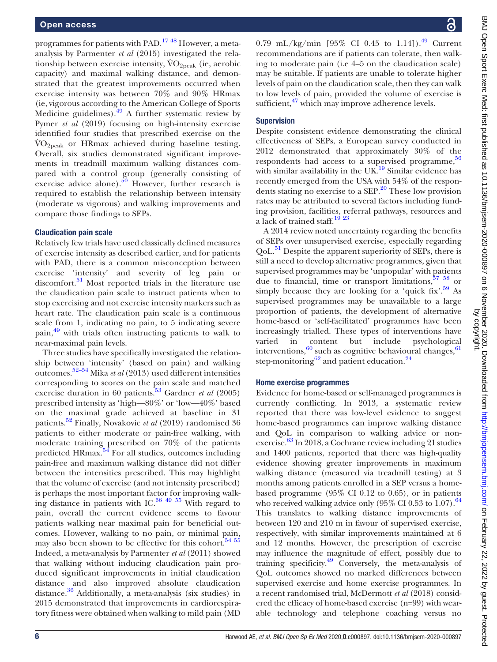programmes for patients with PAD[.17 48](#page-7-22) However, a metaanalysis by Parmenter et al (2015) investigated the relationship between exercise intensity, VO<sub>2peak</sub> (ie, aerobic capacity) and maximal walking distance, and demonstrated that the greatest improvements occurred when exercise intensity was between 70% and 90% HRmax (ie, vigorous according to the American College of Sports Medicine guidelines).<sup>[49](#page-8-11)</sup> A further systematic review by Pymer et al (2019) focusing on high-intensity exercise identified four studies that prescribed exercise on the  $\rm \dot{VO}_{2peak}$  or HRmax achieved during baseline testing. Overall, six studies demonstrated significant improvements in treadmill maximum walking distances compared with a control group (generally consisting of exercise advice alone).<sup>50</sup> However, further research is required to establish the relationship between intensity (moderate vs vigorous) and walking improvements and compare those findings to SEPs.

#### Claudication pain scale

Relatively few trials have used classically defined measures of exercise intensity as described earlier, and for patients with PAD, there is a common misconception between exercise 'intensity' and severity of leg pain or discomfort. $51$  Most reported trials in the literature use the claudication pain scale to instruct patients when to stop exercising and not exercise intensity markers such as heart rate. The claudication pain scale is a continuous scale from 1, indicating no pain, to 5 indicating severe pain[,49](#page-8-11) with trials often instructing patients to walk to near-maximal pain levels.

Three studies have specifically investigated the relationship between 'intensity' (based on pain) and walking outcomes.<sup>52–[54](#page-8-14)</sup> Mika et al (2013) used different intensities corresponding to scores on the pain scale and matched exercise duration in 60 patients. $53$  Gardner et al (2005) prescribed intensity as 'high—80%' or 'low—40%' based on the maximal grade achieved at baseline in 31 patients.<sup>52</sup> Finally, Novakovic et al (2019) randomised 36 patients to either moderate or pain-free walking, with moderate training prescribed on 70% of the patients predicted HRmax.<sup>54</sup> For all studies, outcomes including pain-free and maximum walking distance did not differ between the intensities prescribed. This may highlight that the volume of exercise (and not intensity prescribed) is perhaps the most important factor for improving walk-ing distance in patients with IC.<sup>[36 49 55](#page-8-1)</sup> With regard to pain, overall the current evidence seems to favour patients walking near maximal pain for beneficial outcomes. However, walking to no pain, or minimal pain, may also been shown to be effective for this cohort.<sup>[54 55](#page-8-16)</sup> Indeed, a meta-analysis by Parmenter et al (2011) showed that walking without inducing claudication pain produced significant improvements in initial claudication distance and also improved absolute claudication distance[.36](#page-8-1) Additionally, a meta-analysis (six studies) in 2015 demonstrated that improvements in cardiorespiratory fitness were obtained when walking to mild pain (MD

0.79 mL/kg/min  $[95\% \text{ CI } 0.45 \text{ to } 1.14]$ ).<sup>[49](#page-8-11)</sup> Current recommendations are if patients can tolerate, then walking to moderate pain (i.e 4–5 on the claudication scale) may be suitable. If patients are unable to tolerate higher levels of pain on the claudication scale, then they can walk to low levels of pain, provided the volume of exercise is sufficient, $47$  which may improve adherence levels.

## **Supervision**

Despite consistent evidence demonstrating the clinical effectiveness of SEPs, a European survey conducted in 2012 demonstrated that approximately 30% of the respondents had access to a supervised programme,  $56$ with similar availability in the UK.<sup>[19](#page-7-15)</sup> Similar evidence has recently emerged from the USA with 54% of the respondents stating no exercise to a  $\text{SEP}^{20}$  $\text{SEP}^{20}$  $\text{SEP}^{20}$  These low provision rates may be attributed to several factors including funding provision, facilities, referral pathways, resources and a lack of trained staff.<sup>19 23</sup>

A 2014 review noted uncertainty regarding the benefits of SEPs over unsupervised exercise, especially regarding  $QoL<sup>51</sup>$  Despite the apparent superiority of SEPs, there is still a need to develop alternative programmes, given that supervised programmes may be 'unpopular' with patients due to financial, time or transport limitations,  $57\frac{58}{10}$  or simply because they are looking for a 'quick fix'.<sup>[59](#page-8-19)</sup> As supervised programmes may be unavailable to a large proportion of patients, the development of alternative home-based or 'self-facilitated' programmes have been increasingly trialled. These types of interventions have varied in content but include psychological interventions,  $60$  such as cognitive behavioural changes,  $61$ step-monitoring $62$  and patient education.<sup>[24](#page-7-25)</sup>

#### Home exercise programmes

Evidence for home-based or self-managed programmes is currently conflicting. In 2013, a systematic review reported that there was low-level evidence to suggest home-based programmes can improve walking distance and QoL in comparison to walking advice or nonexercise. $^{63}$  $^{63}$  $^{63}$  In 2018, a Cochrane review including 21 studies and 1400 patients, reported that there was high-quality evidence showing greater improvements in maximum walking distance (measured via treadmill testing) at 3 months among patients enrolled in a SEP versus a homebased programme (95% CI 0.12 to 0.65), or in patients who received walking advice only  $(95\% \text{ CI } 0.53 \text{ to } 1.07)$ .<sup>[64](#page-8-24)</sup> This translates to walking distance improvements of between 120 and 210 m in favour of supervised exercise, respectively, with similar improvements maintained at 6 and 12 months. However, the prescription of exercise may influence the magnitude of effect, possibly due to training specificity.<sup>[49](#page-8-11)</sup> Conversely, the meta-analysis of QoL outcomes showed no marked differences between supervised exercise and home exercise programmes. In a recent randomised trial, McDermott et al (2018) considered the efficacy of home-based exercise (n=99) with wearable technology and telephone coaching versus no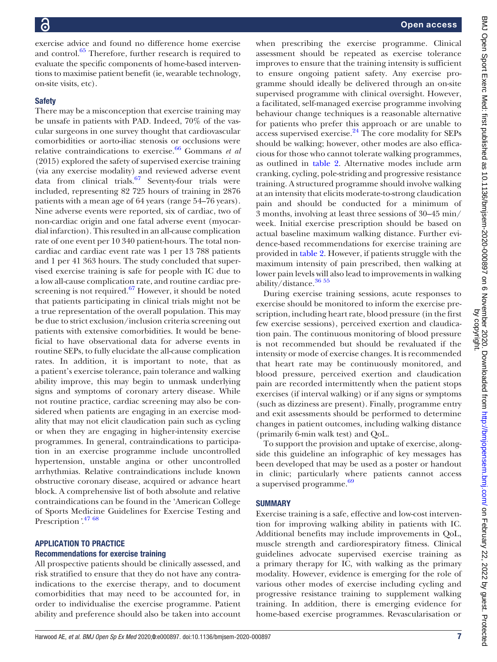exercise advice and found no difference home exercise and control.<sup>65</sup> Therefore, further research is required to evaluate the specific components of home-based interventions to maximise patient benefit (ie, wearable technology, on-site visits, etc).

## Safety

There may be a misconception that exercise training may be unsafe in patients with PAD. Indeed, 70% of the vascular surgeons in one survey thought that cardiovascular comorbidities or aorto-iliac stenosis or occlusions were relative contraindications to exercise.<sup>[66](#page-8-26)</sup> Gommans et al. (2015) explored the safety of supervised exercise training (via any exercise modality) and reviewed adverse event data from clinical trials. $67$  Seventy-four trials were included, representing 82 725 hours of training in 2876 patients with a mean age of 64 years (range 54–76 years). Nine adverse events were reported, six of cardiac, two of non-cardiac origin and one fatal adverse event (myocardial infarction). This resulted in an all-cause complication rate of one event per 10 340 patient-hours. The total noncardiac and cardiac event rate was 1 per 13 788 patients and 1 per 41 363 hours. The study concluded that supervised exercise training is safe for people with IC due to a low all-cause complication rate, and routine cardiac prescreening is not required.<sup>67</sup> However, it should be noted that patients participating in clinical trials might not be a true representation of the overall population. This may be due to strict exclusion/inclusion criteria screening out patients with extensive comorbidities. It would be beneficial to have observational data for adverse events in routine SEPs, to fully elucidate the all-cause complication rates. In addition, it is important to note, that as a patient's exercise tolerance, pain tolerance and walking ability improve, this may begin to unmask underlying signs and symptoms of coronary artery disease. While not routine practice, cardiac screening may also be considered when patients are engaging in an exercise modality that may not elicit claudication pain such as cycling or when they are engaging in higher-intensity exercise programmes. In general, contraindications to participation in an exercise programme include uncontrolled hypertension, unstable angina or other uncontrolled arrhythmias. Relative contraindications include known obstructive coronary disease, acquired or advance heart block. A comprehensive list of both absolute and relative contraindications can be found in the 'American College of Sports Medicine Guidelines for Exercise Testing and Prescription'.<sup>[47 68](#page-8-10)</sup>

## APPLICATION TO PRACTICE

#### Recommendations for exercise training

All prospective patients should be clinically assessed, and risk stratified to ensure that they do not have any contraindications to the exercise therapy, and to document comorbidities that may need to be accounted for, in order to individualise the exercise programme. Patient ability and preference should also be taken into account

when prescribing the exercise programme. Clinical assessment should be repeated as exercise tolerance improves to ensure that the training intensity is sufficient to ensure ongoing patient safety. Any exercise programme should ideally be delivered through an on-site supervised programme with clinical oversight. However, a facilitated, self-managed exercise programme involving behaviour change techniques is a reasonable alternative for patients who prefer this approach or are unable to access supervised exercise. $24$  The core modality for SEPs should be walking; however, other modes are also efficacious for those who cannot tolerate walking programmes, as outlined in [table 2.](#page-3-0) Alternative modes include arm cranking, cycling, pole-striding and progressive resistance training. A structured programme should involve walking at an intensity that elicits moderate-to-strong claudication pain and should be conducted for a minimum of 3 months, involving at least three sessions of 30–45 min/ week. Initial exercise prescription should be based on actual baseline maximum walking distance. Further evidence-based recommendations for exercise training are provided in [table 2](#page-2-0). However, if patients struggle with the maximum intensity of pain prescribed, then walking at lower pain levels will also lead to improvements in walking ability/distance.[36 55](#page-8-1)

During exercise training sessions, acute responses to exercise should be monitored to inform the exercise prescription, including heart rate, blood pressure (in the first few exercise sessions), perceived exertion and claudication pain. The continuous monitoring of blood pressure is not recommended but should be revaluated if the intensity or mode of exercise changes. It is recommended that heart rate may be continuously monitored, and blood pressure, perceived exertion and claudication pain are recorded intermittently when the patient stops exercises (if interval walking) or if any signs or symptoms (such as dizziness are present). Finally, programme entry and exit assessments should be performed to determine changes in patient outcomes, including walking distance (primarily 6-min walk test) and QoL.

To support the provision and uptake of exercise, alongside this guideline an infographic of key messages has been developed that may be used as a poster or handout in clinic; particularly where patients cannot access a supervised programme.<sup>[69](#page-8-28)</sup>

#### **SUMMARY**

Exercise training is a safe, effective and low-cost intervention for improving walking ability in patients with IC. Additional benefits may include improvements in QoL, muscle strength and cardiorespiratory fitness. Clinical guidelines advocate supervised exercise training as a primary therapy for IC, with walking as the primary modality. However, evidence is emerging for the role of various other modes of exercise including cycling and progressive resistance training to supplement walking training. In addition, there is emerging evidence for home-based exercise programmes. Revascularisation or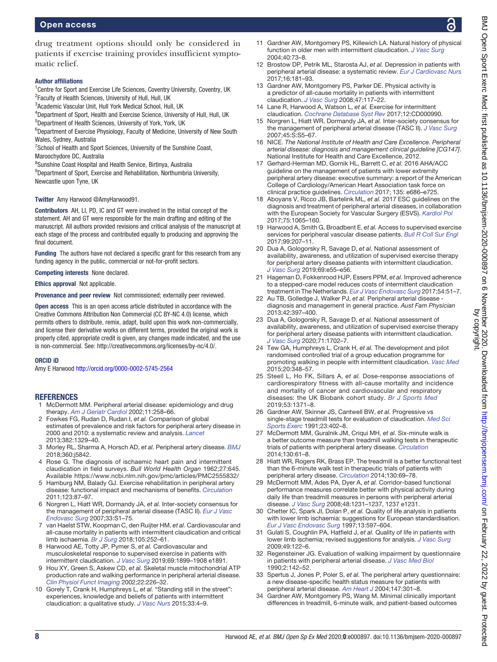<span id="page-7-23"></span><span id="page-7-22"></span><span id="page-7-15"></span><span id="page-7-14"></span><span id="page-7-13"></span><span id="page-7-12"></span><span id="page-7-11"></span><span id="page-7-10"></span>11 Gardner AW, Montgomery PS, Killewich LA. Natural history of physical function in older men with intermittent claudication. [J Vasc Surg](https://dx.doi.org/10.1016/j.jvs.2004.02.010) 2004;40:73–8. 12 Brostow DP, Petrik ML, Starosta AJ, et al. Depression in patients with peripheral arterial disease: a systematic review. [Eur J Cardiovasc Nurs](https://dx.doi.org/10.1177/1474515116687222) 2017;16:181–93. 13 Gardner AW, Montgomery PS, Parker DE. Physical activity is a predictor of all-cause mortality in patients with intermittent claudication. [J Vasc Surg](https://dx.doi.org/10.1016/j.jvs.2007.09.033) 2008;47:117–22. 14 Lane R, Harwood A, Watson L, et al. Exercise for intermittent claudication. [Cochrane Database Syst Rev](https://dx.doi.org/10.2522/ptj.20100419) 2017;12:CD000990. 15 Norgren L, Hiatt WR, Dormandy JA, et al. Inter-society consensus for the management of peripheral arterial disease (TASC II). [J Vasc Surg](https://dx.doi.org/10.1016/j.jvs.2006.12.037) 2007;45:S:S5–67. 16 NICE. The National Institute of Health and Care Excellence. Peripheral arterial disease: diagnosis and management clinical guideline [CG147]. National Institute for Health and Care Excellence, 2012. 17 Gerhard-Herman MD, Gornik HL, Barrett C, et al. 2016 AHA/ACC guideline on the management of patients with lower extremity peripheral artery disease: executive summary: a report of the American College of Cardiology/American Heart Association task force on clinical practice guidelines. [Circulation](https://dx.doi.org/10.1016/j.jacc.2016.11.008) 2017; 135: e686–e725. 18 Aboyans V, Ricco JB, Bartelink ML, et al. 2017 ESC guidelines on the diagnosis and treatment of peripheral arterial diseases, in collaboration with the European Society for Vascular Surgery (ESVS). [Kardiol Pol](https://dx.doi.org/10.1016/j.ejvs.2017.07.018) 2017;75:1065–160. 19 Harwood A, Smith G, Broadbent E, et al. Access to supervised exercise services for peripheral vascular disease patients. [Bull R Coll Sur Engl](https://dx.doi.org/10.1308/rcsbull.2017.207) 2017;99:207–11. 20 Dua A, Gologorsky R, Savage D, et al. National assessment of availability, awareness, and utilization of supervised exercise therapy for peripheral artery disease patients with intermittent claudication. [J Vasc Surg](https://dx.doi.org/10.1016/j.jvs.2019.04.022) 2019;69:e55–e56. 21 Hageman D, Fokkenrood HJP, Essers PPM, et al. Improved adherence to a stepped-care model reduces costs of intermittent claudication treatment in The Netherlands. [Eur J Vasc Endovasc Surg](https://dx.doi.org/10.1016/j.ejvs.2019.06.560) 2017;54:51-7. 22 Au TB, Golledge J, Walker PJ, et al. Peripheral arterial disease diagnosis and management in general practice. Aust Fam Physician 2013;42:397–400. 23 Dua A, Gologorsky R, Savage D, et al. National assessment of availability, awareness, and utilization of supervised exercise therapy for peripheral artery disease patients with intermittent claudication. [J Vasc Surg](https://dx.doi.org/10.1016/j.jvs.2019.08.238) 2020;71:1702–7. 24 Tew GA, Humphreys L, Crank H, et al. The development and pilot randomised controlled trial of a group education programme for promoting walking in people with intermittent claudication. [Vasc Med](https://dx.doi.org/10.1177/1358863X15577857) 2015;20:348–57. 25 Steell L, Ho FK, Sillars A, et al. Dose-response associations of cardiorespiratory fitness with all-cause mortality and incidence and mortality of cancer and cardiovascular and respiratory diseases: the UK Biobank cohort study. [Br J Sports Med](https://dx.doi.org/10.1136/bjsports-2018-099093) 2019;53:1371–8. 26 Gardner AW, Skinner JS, Cantwell BW, et al. Progressive vs single-stage treadmill tests for evaluation of claudication. [Med Sci](https://dx.doi.org/10.1249/00005768-199104000-00003)

- <span id="page-7-27"></span><span id="page-7-26"></span><span id="page-7-25"></span><span id="page-7-24"></span><span id="page-7-16"></span>[Sports Exerc](https://dx.doi.org/10.1249/00005768-199104000-00003) 1991;23:402–8. 27 McDermott MM, Guralnik JM, Criqui MH, et al. Six-minute walk is a better outcome measure than treadmill walking tests in therapeutic trials of patients with peripheral artery disease. [Circulation](https://dx.doi.org/10.1161/CIRCULATIONAHA.114.007002)
- <span id="page-7-17"></span>2014;130:61–8. 28 Hiatt WR, Rogers RK, Brass EP. The treadmill is a better functional test than the 6-minute walk test in therapeutic trials of patients with peripheral artery disease. [Circulation](https://dx.doi.org/10.1161/CIRCULATIONAHA.113.007003) 2014;130:69–78.
- 29 McDermott MM, Ades PA, Dyer A, et al. Corridor-based functional performance measures correlate better with physical activity during daily life than treadmill measures in persons with peripheral arterial disease. [J Vasc Surg](https://dx.doi.org/10.1016/j.jvs.2008.06.050) 2008;48:1231–1237, 1237 e1231.
- <span id="page-7-18"></span>30 Chetter IC, Spark JI, Dolan P, et al. Quality of life analysis in patients with lower limb ischaemia: suggestions for European standardisation. [Eur J Vasc Endovasc Surg](https://dx.doi.org/10.1016/S1078-5884(97)80070-6) 1997;13:597–604.
- 31 Gulati S, Coughlin PA, Hatfield J, et al. Quality of life in patients with lower limb ischemia; revised suggestions for analysis. [J Vasc Surg](https://dx.doi.org/10.1016/j.jvs.2008.08.011) 2009;49:122–6.
- <span id="page-7-19"></span>32 Regensteiner JG. Evaluation of walking impairment by questionnaire in patients with peripheral arterial disease. [J Vasc Med Biol](https://dx.doi.org/10.1016/j.jvs.2008.12.073) 1990;2:142–52.
- <span id="page-7-20"></span>33 Spertus J, Jones P, Poler S, et al. The peripheral artery questionnaire: a new disease-specific health status measure for patients with peripheral arterial disease. [Am Heart J](https://dx.doi.org/10.1016/j.ahj.2003.08.001) 2004;147:301-8.
- <span id="page-7-21"></span>34 Gardner AW, Montgomery PS, Wang M. Minimal clinically important differences in treadmill, 6-minute walk, and patient-based outcomes

drug treatment options should only be considered in patients if exercise training provides insufficient symptomatic relief.

# Author affiliations

<sup>1</sup> Centre for Sport and Exercise Life Sciences, Coventry University, Coventry, UK <sup>2</sup> Faculty of Health Sciences, University of Hull, Hull, UK

3 Academic Vascular Unit, Hull York Medical School, Hull, UK

4 Department of Sport, Health and Exercise Science, University of Hull, Hull, UK 5 Department of Health Sciences, University of York, York, UK

<sup>6</sup>Department of Exercise Physiology, Faculty of Medicine, University of New South Wales, Sydney, Australia

<sup>7</sup> School of Health and Sport Sciences, University of the Sunshine Coast, Maroochydore DC, Australia

8 Sunshine Coast Hospital and Health Service, Birtinya, Australia

<sup>9</sup>Department of Sport, Exercise and Rehabilitation, Northumbria University, Newcastle upon Tyne, UK

Twitter Amy Harwood [@AmyHarwood91](https://twitter.com/AmyHarwood91).

Contributors AH, LI, PD, IC and GT were involved in the initial concept of the statement. AH and GT were responsible for the main drafting and editing of the manuscript. All authors provided revisions and critical analysis of the manuscript at each stage of the process and contributed equally to producing and approving the final document.

Funding The authors have not declared a specific grant for this research from any funding agency in the public, commercial or not-for-profit sectors.

Competing interests None declared.

Ethics approval Not applicable.

Provenance and peer review Not commissioned; externally peer reviewed.

Open access This is an open access article distributed in accordance with the Creative Commons Attribution Non Commercial (CC BY-NC 4.0) license, which permits others to distribute, remix, adapt, build upon this work non-commercially, and license their derivative works on different terms, provided the original work is properly cited, appropriate credit is given, any changes made indicated, and the use is non-commercial. See: http://creativecommons.org/licenses/by-nc/4.0/.

#### ORCID iD

Amy E Harwood <http://orcid.org/0000-0002-5745-2564>

# **REFERENCES**

- <span id="page-7-0"></span>McDermott MM. Peripheral arterial disease: epidemiology and drug therapy. [Am J Geriatr Cardiol](https://dx.doi.org/10.1111/j.1076-7460.2002.00031.x) 2002;11:258–66.
- <span id="page-7-1"></span>2 Fowkes FG, Rudan D, Rudan I, et al. Comparison of global estimates of prevalence and risk factors for peripheral artery disease in 2000 and 2010: a systematic review and analysis. [Lancet](https://dx.doi.org/10.1016/S0140-6736(13)61249-0) 2013;382:1329–40.
- <span id="page-7-2"></span>3 Morley RL, Sharma A, Horsch AD, et al. Peripheral artery disease. [BMJ](https://dx.doi.org/10.1136/bmj.j5842) 2018;360:j5842.
- <span id="page-7-3"></span>4 Rose G. The diagnosis of ischaemic heart pain and intermittent claudication in field surveys. Bull World Health Organ 1962;27:645. Available<https://www.ncbi.nlm.nih.gov/pmc/articles/PMC2555832/>
- <span id="page-7-4"></span>5 Hamburg NM, Balady GJ. Exercise rehabilitation in peripheral artery disease: functional impact and mechanisms of benefits. [Circulation](https://dx.doi.org/10.1161/CIRCULATIONAHA.109.881888) 2011;123:87–97.
- <span id="page-7-5"></span>6 Norgren L, Hiatt WR, Dormandy JA, et al. Inter-society consensus for the management of peripheral arterial disease (TASC II). [Eur J Vasc](https://dx.doi.org/10.1016/j.ejvs.2006.09.024) [Endovasc Surg](https://dx.doi.org/10.1016/j.ejvs.2006.09.024) 2007;33:S1–75.
- <span id="page-7-6"></span>van Haelst STW, Koopman C, den Ruijter HM, et al. Cardiovascular and all-cause mortality in patients with intermittent claudication and critical limb ischaemia. [Br J Surg](https://dx.doi.org/10.1002/bjs.10657) 2018;105:252–61.
- <span id="page-7-7"></span>8 Harwood AE, Totty JP, Pymer S, et al. Cardiovascular and musculoskeletal response to supervised exercise in patients with intermittent claudication. [J Vasc Surg](https://dx.doi.org/10.1016/j.jvs.2018.10.065) 2019;69:1899–1908 e1891.
- <span id="page-7-8"></span>9 Hou XY, Green S, Askew CD, et al. Skeletal muscle mitochondrial ATP production rate and walking performance in peripheral arterial disease. [Clin Physiol Funct Imaging](https://dx.doi.org/10.1046/j.1475-097X.2002.00423.x) 2002;22:226–32.
- <span id="page-7-9"></span>10 Gorely T, Crank H, Humphreys L, et al. "Standing still in the street": experiences, knowledge and beliefs of patients with intermittent claudication: a qualitative study. [J Vasc Nurs](https://dx.doi.org/10.1016/j.jvn.2014.12.001) 2015;33:4–9.